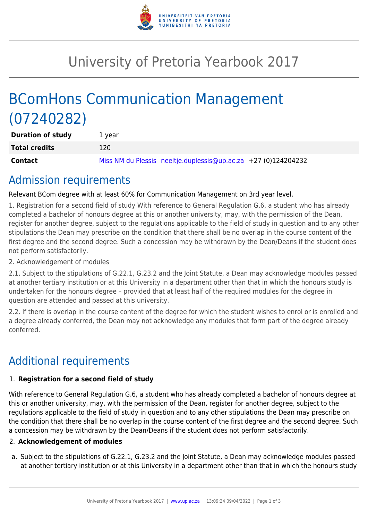

## University of Pretoria Yearbook 2017

# BComHons Communication Management (07240282)

| <b>Duration of study</b> | 1 vear                                                         |
|--------------------------|----------------------------------------------------------------|
| <b>Total credits</b>     | 120                                                            |
| Contact                  | Miss NM du Plessis neeltje.duplessis@up.ac.za +27 (0)124204232 |

### Admission requirements

Relevant BCom degree with at least 60% for Communication Management on 3rd year level.

1. Registration for a second field of study With reference to General Regulation G.6, a student who has already completed a bachelor of honours degree at this or another university, may, with the permission of the Dean, register for another degree, subject to the regulations applicable to the field of study in question and to any other stipulations the Dean may prescribe on the condition that there shall be no overlap in the course content of the first degree and the second degree. Such a concession may be withdrawn by the Dean/Deans if the student does not perform satisfactorily.

#### 2. Acknowledgement of modules

2.1. Subject to the stipulations of G.22.1, G.23.2 and the Joint Statute, a Dean may acknowledge modules passed at another tertiary institution or at this University in a department other than that in which the honours study is undertaken for the honours degree – provided that at least half of the required modules for the degree in question are attended and passed at this university.

2.2. If there is overlap in the course content of the degree for which the student wishes to enrol or is enrolled and a degree already conferred, the Dean may not acknowledge any modules that form part of the degree already conferred.

### Additional requirements

#### 1. **Registration for a second field of study**

With reference to General Regulation G.6, a student who has already completed a bachelor of honours degree at this or another university, may, with the permission of the Dean, register for another degree, subject to the regulations applicable to the field of study in question and to any other stipulations the Dean may prescribe on the condition that there shall be no overlap in the course content of the first degree and the second degree. Such a concession may be withdrawn by the Dean/Deans if the student does not perform satisfactorily.

#### 2. **Acknowledgement of modules**

a. Subject to the stipulations of G.22.1, G.23.2 and the Joint Statute, a Dean may acknowledge modules passed at another tertiary institution or at this University in a department other than that in which the honours study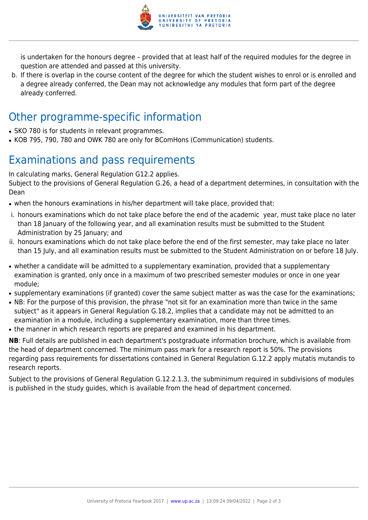

is undertaken for the honours degree – provided that at least half of the required modules for the degree in question are attended and passed at this university.

b. If there is overlap in the course content of the degree for which the student wishes to enrol or is enrolled and a degree already conferred, the Dean may not acknowledge any modules that form part of the degree already conferred.

### Other programme-specific information

- SKO 780 is for students in relevant programmes.
- KOB 795, 790, 780 and OWK 780 are only for BComHons (Communication) students.

## Examinations and pass requirements

In calculating marks, General Regulation G12.2 applies.

Subject to the provisions of General Regulation G.26, a head of a department determines, in consultation with the Dean

- when the honours examinations in his/her department will take place, provided that:
- i. honours examinations which do not take place before the end of the academic year, must take place no later than 18 January of the following year, and all examination results must be submitted to the Student Administration by 25 January; and
- ii. honours examinations which do not take place before the end of the first semester, may take place no later than 15 July, and all examination results must be submitted to the Student Administration on or before 18 July.
- whether a candidate will be admitted to a supplementary examination, provided that a supplementary examination is granted, only once in a maximum of two prescribed semester modules or once in one year module;
- supplementary examinations (if granted) cover the same subject matter as was the case for the examinations;
- NB: For the purpose of this provision, the phrase "not sit for an examination more than twice in the same subject" as it appears in General Regulation G.18.2, implies that a candidate may not be admitted to an examination in a module, including a supplementary examination, more than three times.
- the manner in which research reports are prepared and examined in his department.

**NB**: Full details are published in each department's postgraduate information brochure, which is available from the head of department concerned. The minimum pass mark for a research report is 50%. The provisions regarding pass requirements for dissertations contained in General Regulation G.12.2 apply mutatis mutandis to research reports.

Subject to the provisions of General Regulation G.12.2.1.3, the subminimum required in subdivisions of modules is published in the study guides, which is available from the head of department concerned.